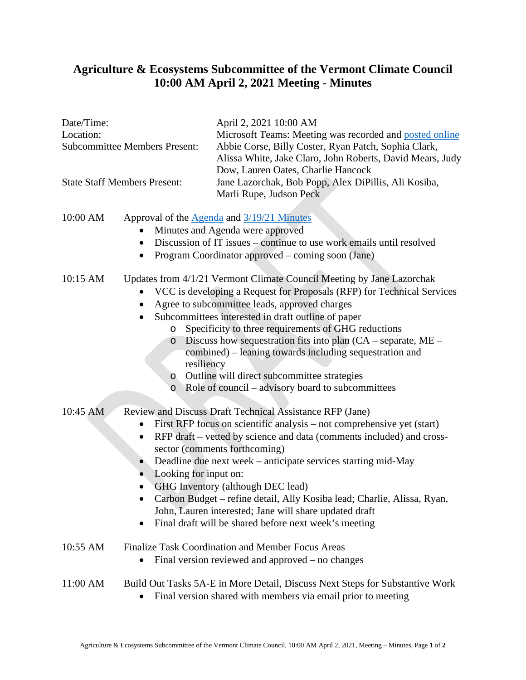## **Agriculture & Ecosystems Subcommittee of the Vermont Climate Council 10:00 AM April 2, 2021 Meeting - Minutes**

# Date/Time: April 2, 2021 10:00 AM Location: Microsoft Teams: Meeting was recorded and [posted online](https://www.youtube.com/watch?app=desktop&v=K-yhJY5kf9o&feature=youtu.be) Subcommittee Members Present: Abbie Corse, Billy Coster, Ryan Patch, Sophia Clark, Alissa White, Jake Claro, John Roberts, David Mears, Judy Dow, Lauren Oates, Charlie Hancock State Staff Members Present: Jane Lazorchak, Bob Popp, Alex DiPillis, Ali Kosiba, Marli Rupe, Judson Peck 10:00 AM Approval of the [Agenda](https://aoa.vermont.gov/sites/aoa/files/Boards/VCC/2021-4-2%20Agenda%20-%20Agriculture%20%20Ecosystems%20Subcommittee%20of%20the%20Vermont%20Climate%20Council.pdf) and [3/19/21 Minutes](https://aoa.vermont.gov/sites/aoa/files/Boards/VCC/2021-3-19%20Minutes%20-%20Agriculture%20%26%20Ecosystems%20Subcommittee%20of%20the%20Vermont%20Climate%20Council.pdf) • Minutes and Agenda were approved • Discussion of IT issues – continue to use work emails until resolved • Program Coordinator approved – coming soon (Jane) 10:15 AM Updates from 4/1/21 Vermont Climate Council Meeting by Jane Lazorchak • VCC is developing a Request for Proposals (RFP) for Technical Services • Agree to subcommittee leads, approved charges • Subcommittees interested in draft outline of paper o Specificity to three requirements of GHG reductions o Discuss how sequestration fits into plan (CA – separate, ME – combined) – leaning towards including sequestration and resiliency o Outline will direct subcommittee strategies o Role of council – advisory board to subcommittees 10:45 AM Review and Discuss Draft Technical Assistance RFP (Jane) • First RFP focus on scientific analysis – not comprehensive yet (start) • RFP draft – vetted by science and data (comments included) and crosssector (comments forthcoming) • Deadline due next week – anticipate services starting mid-May • Looking for input on: • GHG Inventory (although DEC lead) • Carbon Budget – refine detail, Ally Kosiba lead; Charlie, Alissa, Ryan, John, Lauren interested; Jane will share updated draft • Final draft will be shared before next week's meeting 10:55 AM Finalize Task Coordination and Member Focus Areas • Final version reviewed and approved – no changes 11:00 AM Build Out Tasks 5A-E in More Detail, Discuss Next Steps for Substantive Work

• Final version shared with members via email prior to meeting